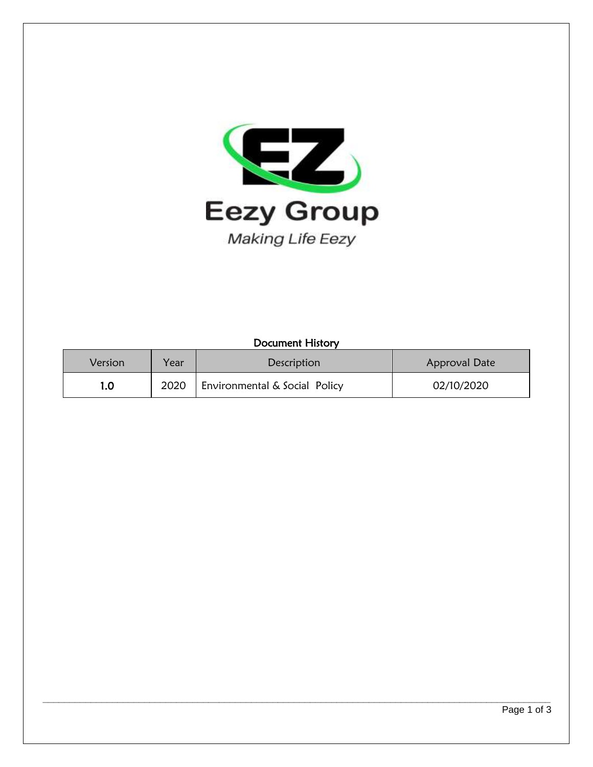

### Document History

| Version | Year | <b>Description</b>            | Approval Date |
|---------|------|-------------------------------|---------------|
| 1.0     | 2020 | Environmental & Social Policy | 02/10/2020    |

**\_\_\_\_\_\_\_\_\_\_\_\_\_\_\_\_\_\_\_\_\_\_\_\_\_\_\_\_\_\_\_\_\_\_\_\_\_\_\_\_\_\_\_\_\_\_\_\_\_\_\_\_\_\_\_\_\_\_\_\_\_\_\_\_\_\_\_\_\_\_\_\_\_\_\_\_\_\_\_\_\_\_\_\_\_\_\_\_\_\_\_\_\_\_\_**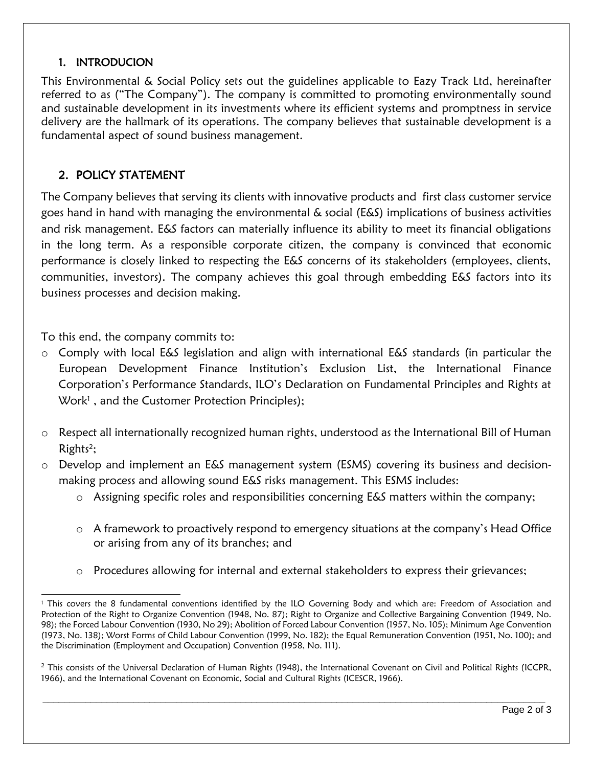## 1. INTRODUCION

This Environmental & Social Policy sets out the guidelines applicable to Eazy Track Ltd, hereinafter referred to as ("The Company"). The company is committed to promoting environmentally sound and sustainable development in its investments where its efficient systems and promptness in service delivery are the hallmark of its operations. The company believes that sustainable development is a fundamental aspect of sound business management.

# 2. POLICY STATEMENT

The Company believes that serving its clients with innovative products and first class customer service goes hand in hand with managing the environmental & social (E&S) implications of business activities and risk management. E&S factors can materially influence its ability to meet its financial obligations in the long term. As a responsible corporate citizen, the company is convinced that economic performance is closely linked to respecting the E&S concerns of its stakeholders (employees, clients, communities, investors). The company achieves this goal through embedding E&S factors into its business processes and decision making.

To this end, the company commits to:

l

- o Comply with local E&S legislation and align with international E&S standards (in particular the European Development Finance Institution's Exclusion List, the International Finance Corporation's Performance Standards, ILO's Declaration on Fundamental Principles and Rights at Work<sup>1</sup>, and the Customer Protection Principles);
- o Respect all internationally recognized human rights, understood as the International Bill of Human Rights<sup>2</sup>;
- o Develop and implement an E&S management system (ESMS) covering its business and decisionmaking process and allowing sound E&S risks management. This ESMS includes:
	- o Assigning specific roles and responsibilities concerning E&S matters within the company;
	- o A framework to proactively respond to emergency situations at the company's Head Office or arising from any of its branches; and
	- o Procedures allowing for internal and external stakeholders to express their grievances;

**\_\_\_\_\_\_\_\_\_\_\_\_\_\_\_\_\_\_\_\_\_\_\_\_\_\_\_\_\_\_\_\_\_\_\_\_\_\_\_\_\_\_\_\_\_\_\_\_\_\_\_\_\_\_\_\_\_\_\_\_\_\_\_\_\_\_\_\_\_\_\_\_\_\_\_\_\_\_\_\_\_\_\_\_\_\_\_\_\_\_\_\_\_\_**

<sup>&</sup>lt;sup>1</sup> This covers the 8 fundamental conventions identified by the ILO Governing Body and which are: Freedom of Association and Protection of the Right to Organize Convention (1948, No. 87); Right to Organize and Collective Bargaining Convention (1949, No. 98); the Forced Labour Convention (1930, No 29); Abolition of Forced Labour Convention (1957, No. 105); Minimum Age Convention (1973, No. 138); Worst Forms of Child Labour Convention (1999, No. 182); the Equal Remuneration Convention (1951, No. 100); and the Discrimination (Employment and Occupation) Convention (1958, No. 111).

 $<sup>2</sup>$  This consists of the Universal Declaration of Human Rights (1948), the International Covenant on Civil and Political Rights (ICCPR,</sup> 1966), and the International Covenant on Economic, Social and Cultural Rights (ICESCR, 1966).